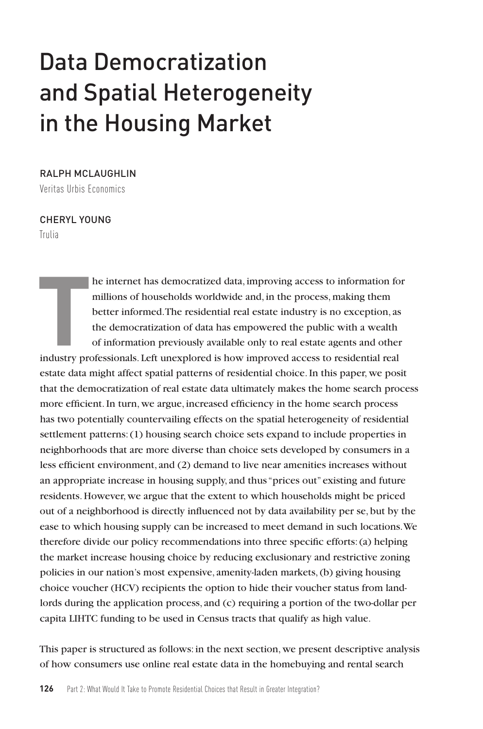# Data Democratization and Spatial Heterogeneity in the Housing Market

## RALPH MCLAUGHLIN

Veritas Urbis Economics

#### CHERYL YOUNG

Trulia

**T** he internet has democratized data, improving access to information for millions of households worldwide and, in the process, making them better informed. The residential real estate industry is no exception, as the democratization of data has empowered the public with a wealth of information previously available only to real estate agents and other industry professionals. Left unexplored is how improved access to residential real estate data might affect spatial patterns of residential choice. In this paper, we posit that the democratization of real estate data ultimately makes the home search process more efficient. In turn, we argue, increased efficiency in the home search process has two potentially countervailing effects on the spatial heterogeneity of residential settlement patterns: (1) housing search choice sets expand to include properties in neighborhoods that are more diverse than choice sets developed by consumers in a less efficient environment, and (2) demand to live near amenities increases without an appropriate increase in housing supply, and thus "prices out" existing and future residents. However, we argue that the extent to which households might be priced out of a neighborhood is directly influenced not by data availability per se, but by the ease to which housing supply can be increased to meet demand in such locations. We therefore divide our policy recommendations into three specific efforts: (a) helping the market increase housing choice by reducing exclusionary and restrictive zoning policies in our nation's most expensive, amenity-laden markets, (b) giving housing choice voucher (HCV) recipients the option to hide their voucher status from landlords during the application process, and (c) requiring a portion of the two-dollar per capita LIHTC funding to be used in Census tracts that qualify as high value.

This paper is structured as follows: in the next section, we present descriptive analysis of how consumers use online real estate data in the homebuying and rental search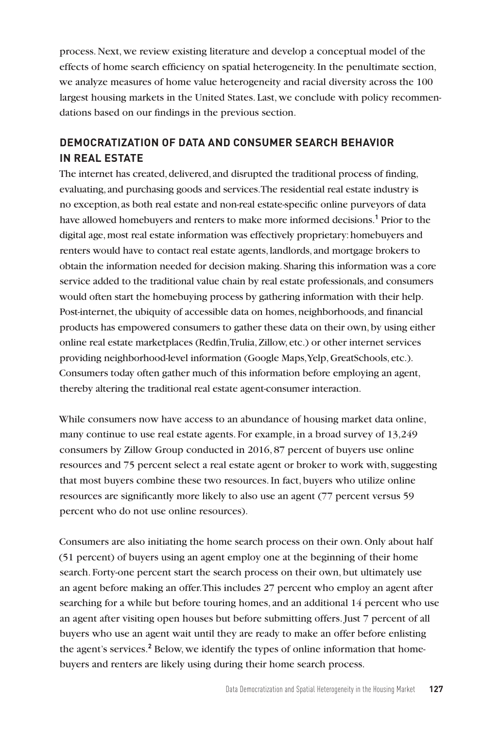process. Next, we review existing literature and develop a conceptual model of the effects of home search efficiency on spatial heterogeneity. In the penultimate section, we analyze measures of home value heterogeneity and racial diversity across the 100 largest housing markets in the United States. Last, we conclude with policy recommendations based on our findings in the previous section.

# **DEMOCRATIZATION OF DATA AND CONSUMER SEARCH BEHAVIOR IN REAL ESTATE**

The internet has created, delivered, and disrupted the traditional process of finding, evaluating, and purchasing goods and services. The residential real estate industry is no exception, as both real estate and non-real estate-specific online purveyors of data have allowed homebuyers and renters to make more informed decisions.**<sup>1</sup>** Prior to the digital age, most real estate information was effectively proprietary: homebuyers and renters would have to contact real estate agents, landlords, and mortgage brokers to obtain the information needed for decision making. Sharing this information was a core service added to the traditional value chain by real estate professionals, and consumers would often start the homebuying process by gathering information with their help. Post-internet, the ubiquity of accessible data on homes, neighborhoods, and financial products has empowered consumers to gather these data on their own, by using either online real estate marketplaces (Redfin, Trulia, Zillow, etc.) or other internet services providing neighborhood-level information (Google Maps, Yelp, GreatSchools, etc.). Consumers today often gather much of this information before employing an agent, thereby altering the traditional real estate agent-consumer interaction.

While consumers now have access to an abundance of housing market data online, many continue to use real estate agents. For example, in a broad survey of 13,249 consumers by Zillow Group conducted in 2016, 87 percent of buyers use online resources and 75 percent select a real estate agent or broker to work with, suggesting that most buyers combine these two resources. In fact, buyers who utilize online resources are significantly more likely to also use an agent (77 percent versus 59 percent who do not use online resources).

Consumers are also initiating the home search process on their own. Only about half (51 percent) of buyers using an agent employ one at the beginning of their home search. Forty-one percent start the search process on their own, but ultimately use an agent before making an offer. This includes 27 percent who employ an agent after searching for a while but before touring homes, and an additional 14 percent who use an agent after visiting open houses but before submitting offers. Just 7 percent of all buyers who use an agent wait until they are ready to make an offer before enlisting the agent's services.<sup>2</sup> Below, we identify the types of online information that homebuyers and renters are likely using during their home search process.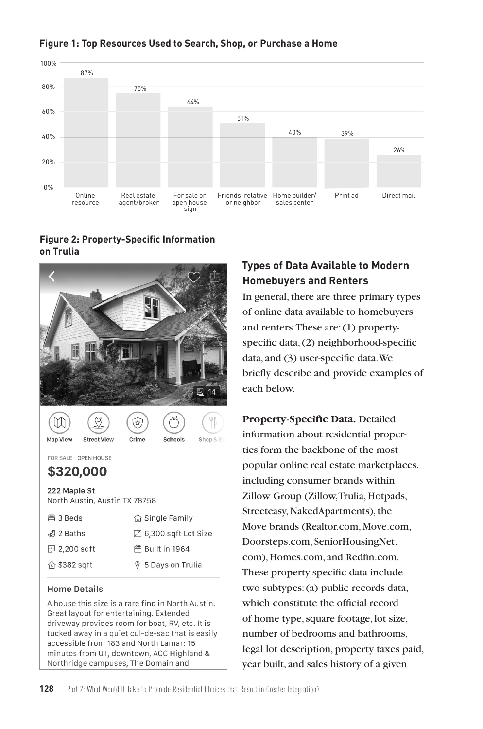

51%

64%

sign

#### **Figure 2: Property-Specific Information on Trulia**

Online Real estate<br>esource agent/broker

resource

0%

20%

40%

60%



#### **Home Details**

A house this size is a rare find in North Austin. Great layout for entertaining. Extended driveway provides room for boat, RV, etc. It is tucked away in a quiet cul-de-sac that is easily accessible from 183 and North Lamar: 15 minutes from UT, downtown, ACC Highland & Northridge campuses, The Domain and

# **Types of Data Available to Modern Homebuyers and Renters**

40% 39%

For sale or Friends, relative Home builder/ Print ad Direct mail<br>open house or neighbor sales center

26%

In general, there are three primary types of online data available to homebuyers and renters. These are: (1) propertyspecific data, (2) neighborhood-specific data, and (3) user-specific data. We briefly describe and provide examples of each below.

**Property-Specific Data.** Detailed information about residential properties form the backbone of the most popular online real estate marketplaces, including consumer brands within Zillow Group (Zillow, Trulia, Hotpads, Streeteasy, NakedApartments), the Move brands (Realtor.com, Move.com, Doorsteps.com, SeniorHousingNet. com), Homes.com, and Redfin.com. These property-specific data include two subtypes: (a) public records data, which constitute the official record of home type, square footage, lot size, number of bedrooms and bathrooms, legal lot description, property taxes paid, year built, and sales history of a given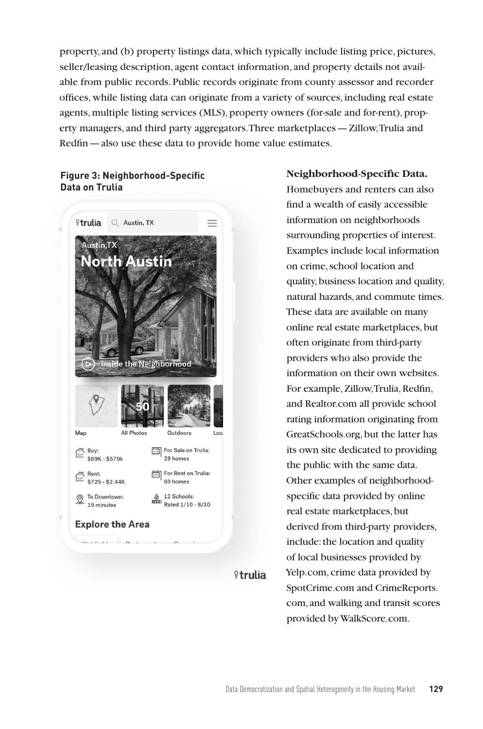property, and (b) property listings data, which typically include listing price, pictures, seller/leasing description, agent contact information, and property details not available from public records. Public records originate from county assessor and recorder offices, while listing data can originate from a variety of sources, including real estate agents, multiple listing services (MLS), property owners (for-sale and for-rent), property managers, and third party aggregators. Three marketplaces—Zillow, Trulia and Redfin—also use these data to provide home value estimates.

#### **Figure 3: Neighborhood-Specific Data on Trulia**



*<u><sup>9</sup>trulia</u>* 

#### **Neighborhood-Specific Data.**

Homebuyers and renters can also find a wealth of easily accessible information on neighborhoods surrounding properties of interest. Examples include local information on crime, school location and quality, business location and quality, natural hazards, and commute times. These data are available on many online real estate marketplaces, but often originate from third-party providers who also provide the information on their own websites. For example, Zillow, Trulia, Redfin, and Realtor.com all provide school rating information originating from GreatSchools.org, but the latter has its own site dedicated to providing the public with the same data. Other examples of neighborhoodspecific data provided by online real estate marketplaces, but derived from third-party providers, include: the location and quality of local businesses provided by Yelp.com, crime data provided by SpotCrime.com and CrimeReports. com, and walking and transit scores provided by WalkScore.com.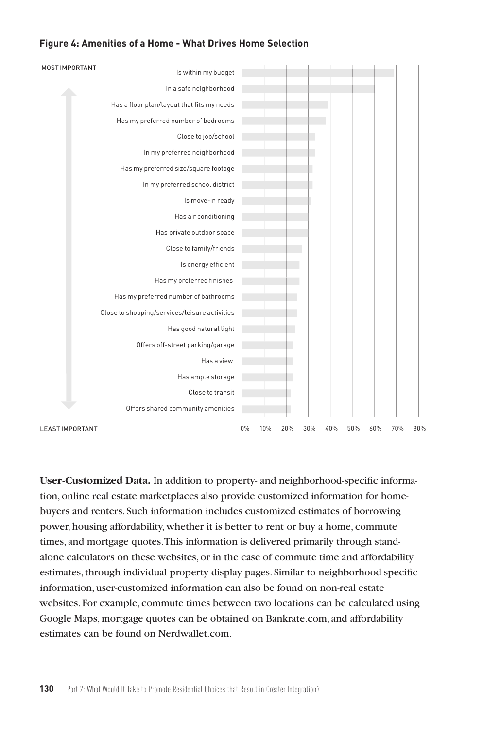#### **Figure 4: Amenities of a Home - What Drives Home Selection**



**User-Customized Data.** In addition to property- and neighborhood-specific information, online real estate marketplaces also provide customized information for homebuyers and renters. Such information includes customized estimates of borrowing power, housing affordability, whether it is better to rent or buy a home, commute times, and mortgage quotes. This information is delivered primarily through standalone calculators on these websites, or in the case of commute time and affordability estimates, through individual property display pages. Similar to neighborhood-specific information, user-customized information can also be found on non-real estate websites. For example, commute times between two locations can be calculated using Google Maps, mortgage quotes can be obtained on Bankrate.com, and affordability estimates can be found on Nerdwallet.com.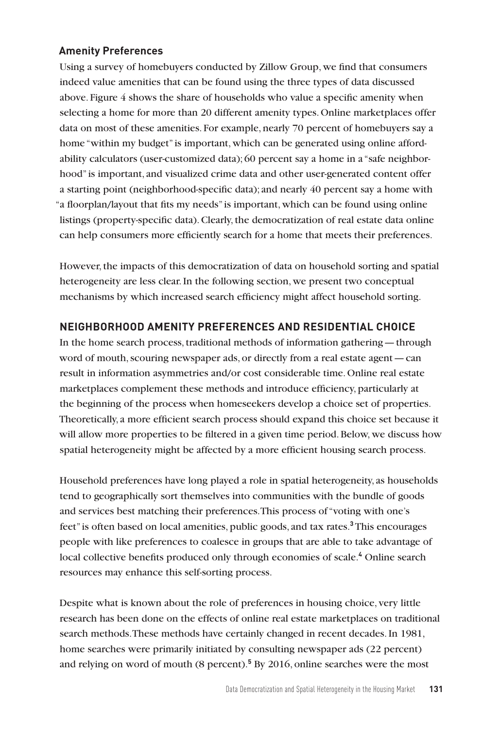## **Amenity Preferences**

Using a survey of homebuyers conducted by Zillow Group, we find that consumers indeed value amenities that can be found using the three types of data discussed above. Figure 4 shows the share of households who value a specific amenity when selecting a home for more than 20 different amenity types. Online marketplaces offer data on most of these amenities. For example, nearly 70 percent of homebuyers say a home "within my budget" is important, which can be generated using online affordability calculators (user-customized data); 60 percent say a home in a "safe neighborhood" is important, and visualized crime data and other user-generated content offer a starting point (neighborhood-specific data); and nearly 40 percent say a home with "a floorplan/layout that fits my needs" is important, which can be found using online listings (property-specific data). Clearly, the democratization of real estate data online can help consumers more efficiently search for a home that meets their preferences.

However, the impacts of this democratization of data on household sorting and spatial heterogeneity are less clear. In the following section, we present two conceptual mechanisms by which increased search efficiency might affect household sorting.

## **NEIGHBORHOOD AMENITY PREFERENCES AND RESIDENTIAL CHOICE**

In the home search process, traditional methods of information gathering—through word of mouth, scouring newspaper ads, or directly from a real estate agent—can result in information asymmetries and/or cost considerable time. Online real estate marketplaces complement these methods and introduce efficiency, particularly at the beginning of the process when homeseekers develop a choice set of properties. Theoretically, a more efficient search process should expand this choice set because it will allow more properties to be filtered in a given time period. Below, we discuss how spatial heterogeneity might be affected by a more efficient housing search process.

Household preferences have long played a role in spatial heterogeneity, as households tend to geographically sort themselves into communities with the bundle of goods and services best matching their preferences. This process of "voting with one's feet" is often based on local amenities, public goods, and tax rates.**<sup>3</sup>** This encourages people with like preferences to coalesce in groups that are able to take advantage of local collective benefits produced only through economies of scale.**<sup>4</sup>** Online search resources may enhance this self-sorting process.

Despite what is known about the role of preferences in housing choice, very little research has been done on the effects of online real estate marketplaces on traditional search methods. These methods have certainly changed in recent decades. In 1981, home searches were primarily initiated by consulting newspaper ads (22 percent) and relying on word of mouth (8 percent).**<sup>5</sup>** By 2016, online searches were the most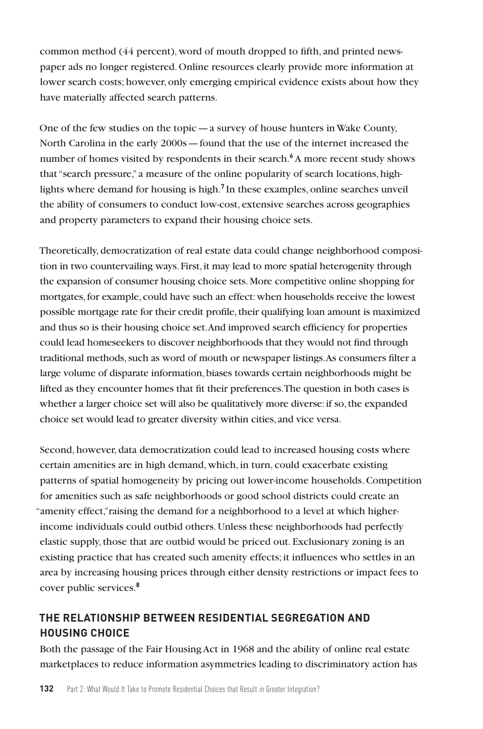common method (44 percent), word of mouth dropped to fifth, and printed newspaper ads no longer registered. Online resources clearly provide more information at lower search costs; however, only emerging empirical evidence exists about how they have materially affected search patterns.

One of the few studies on the topic — a survey of house hunters in Wake County, North Carolina in the early 2000s—found that the use of the internet increased the number of homes visited by respondents in their search.<sup>6</sup> A more recent study shows that "search pressure," a measure of the online popularity of search locations, highlights where demand for housing is high.**<sup>7</sup>** In these examples, online searches unveil the ability of consumers to conduct low-cost, extensive searches across geographies and property parameters to expand their housing choice sets.

Theoretically, democratization of real estate data could change neighborhood composition in two countervailing ways. First, it may lead to more spatial heterogenity through the expansion of consumer housing choice sets. More competitive online shopping for mortgates, for example, could have such an effect: when households receive the lowest possible mortgage rate for their credit profile, their qualifying loan amount is maximized and thus so is their housing choice set. And improved search efficiency for properties could lead homeseekers to discover neighborhoods that they would not find through traditional methods, such as word of mouth or newspaper listings. As consumers filter a large volume of disparate information, biases towards certain neighborhoods might be lifted as they encounter homes that fit their preferences. The question in both cases is whether a larger choice set will also be qualitatively more diverse: if so, the expanded choice set would lead to greater diversity within cities, and vice versa.

Second, however, data democratization could lead to increased housing costs where certain amenities are in high demand, which, in turn, could exacerbate existing patterns of spatial homogeneity by pricing out lower-income households. Competition for amenities such as safe neighborhoods or good school districts could create an "amenity effect,"raising the demand for a neighborhood to a level at which higherincome individuals could outbid others. Unless these neighborhoods had perfectly elastic supply, those that are outbid would be priced out. Exclusionary zoning is an existing practice that has created such amenity effects; it influences who settles in an area by increasing housing prices through either density restrictions or impact fees to cover public services.**<sup>8</sup>**

# **THE RELATIONSHIP BETWEEN RESIDENTIAL SEGREGATION AND HOUSING CHOICE**

Both the passage of the Fair Housing Act in 1968 and the ability of online real estate marketplaces to reduce information asymmetries leading to discriminatory action has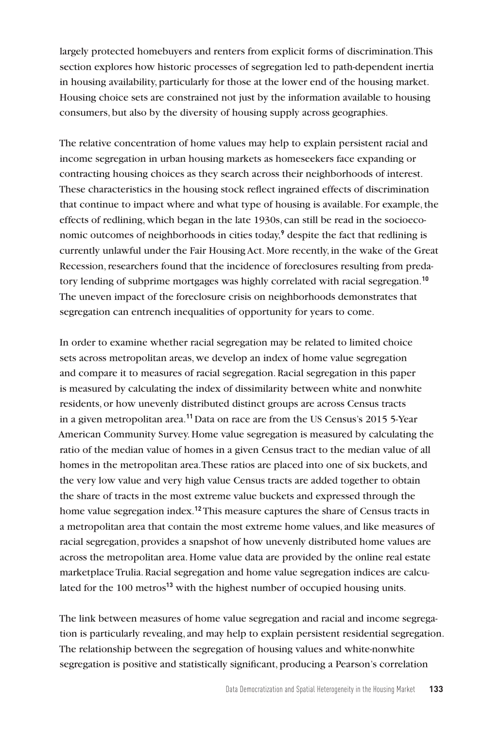largely protected homebuyers and renters from explicit forms of discrimination. This section explores how historic processes of segregation led to path-dependent inertia in housing availability, particularly for those at the lower end of the housing market. Housing choice sets are constrained not just by the information available to housing consumers, but also by the diversity of housing supply across geographies.

The relative concentration of home values may help to explain persistent racial and income segregation in urban housing markets as homeseekers face expanding or contracting housing choices as they search across their neighborhoods of interest. These characteristics in the housing stock reflect ingrained effects of discrimination that continue to impact where and what type of housing is available. For example, the effects of redlining, which began in the late 1930s, can still be read in the socioeconomic outcomes of neighborhoods in cities today,**<sup>9</sup>** despite the fact that redlining is currently unlawful under the Fair Housing Act. More recently, in the wake of the Great Recession, researchers found that the incidence of foreclosures resulting from predatory lending of subprime mortgages was highly correlated with racial segregation.**<sup>10</sup>** The uneven impact of the foreclosure crisis on neighborhoods demonstrates that segregation can entrench inequalities of opportunity for years to come.

In order to examine whether racial segregation may be related to limited choice sets across metropolitan areas, we develop an index of home value segregation and compare it to measures of racial segregation. Racial segregation in this paper is measured by calculating the index of dissimilarity between white and nonwhite residents, or how unevenly distributed distinct groups are across Census tracts in a given metropolitan area.**<sup>11</sup>** Data on race are from the US Census's 2015 5-Year American Community Survey. Home value segregation is measured by calculating the ratio of the median value of homes in a given Census tract to the median value of all homes in the metropolitan area. These ratios are placed into one of six buckets, and the very low value and very high value Census tracts are added together to obtain the share of tracts in the most extreme value buckets and expressed through the home value segregation index.**<sup>12</sup>** This measure captures the share of Census tracts in a metropolitan area that contain the most extreme home values, and like measures of racial segregation, provides a snapshot of how unevenly distributed home values are across the metropolitan area. Home value data are provided by the online real estate marketplace Trulia. Racial segregation and home value segregation indices are calculated for the 100 metros**<sup>13</sup>** with the highest number of occupied housing units.

The link between measures of home value segregation and racial and income segregation is particularly revealing, and may help to explain persistent residential segregation. The relationship between the segregation of housing values and white-nonwhite segregation is positive and statistically significant, producing a Pearson's correlation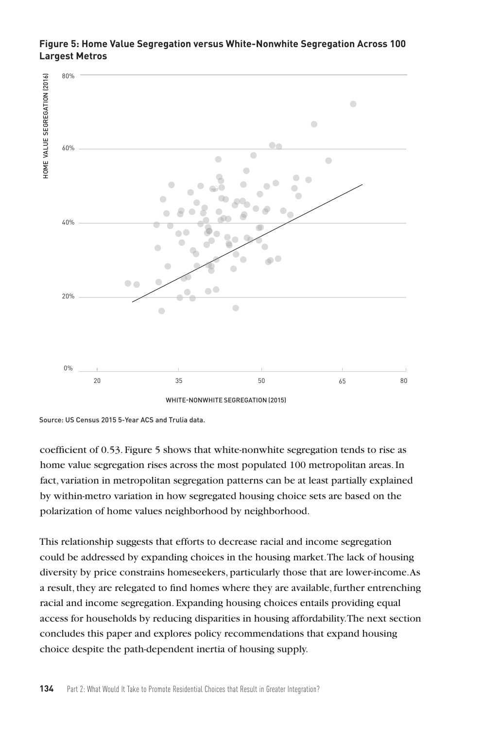#### **Figure 5: Home Value Segregation versus White-Nonwhite Segregation Across 100 Largest Metros**



Source: US Census 2015 5-Year ACS and Trulia data.

coefficient of 0.53. Figure 5 shows that white-nonwhite segregation tends to rise as home value segregation rises across the most populated 100 metropolitan areas. In fact, variation in metropolitan segregation patterns can be at least partially explained by within-metro variation in how segregated housing choice sets are based on the polarization of home values neighborhood by neighborhood.

This relationship suggests that efforts to decrease racial and income segregation could be addressed by expanding choices in the housing market. The lack of housing diversity by price constrains homeseekers, particularly those that are lower-income. As a result, they are relegated to find homes where they are available, further entrenching racial and income segregation. Expanding housing choices entails providing equal access for households by reducing disparities in housing affordability. The next section concludes this paper and explores policy recommendations that expand housing choice despite the path-dependent inertia of housing supply.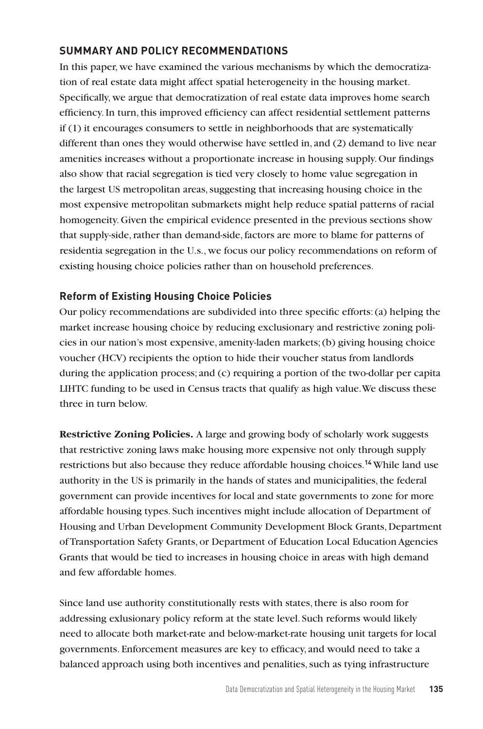## **SUMMARY AND POLICY RECOMMENDATIONS**

In this paper, we have examined the various mechanisms by which the democratization of real estate data might affect spatial heterogeneity in the housing market. Specifically, we argue that democratization of real estate data improves home search efficiency. In turn, this improved efficiency can affect residential settlement patterns if (1) it encourages consumers to settle in neighborhoods that are systematically different than ones they would otherwise have settled in, and (2) demand to live near amenities increases without a proportionate increase in housing supply. Our findings also show that racial segregation is tied very closely to home value segregation in the largest US metropolitan areas, suggesting that increasing housing choice in the most expensive metropolitan submarkets might help reduce spatial patterns of racial homogeneity. Given the empirical evidence presented in the previous sections show that supply-side, rather than demand-side, factors are more to blame for patterns of residentia segregation in the U.s., we focus our policy recommendations on reform of existing housing choice policies rather than on household preferences.

## **Reform of Existing Housing Choice Policies**

Our policy recommendations are subdivided into three specific efforts: (a) helping the market increase housing choice by reducing exclusionary and restrictive zoning policies in our nation's most expensive, amenity-laden markets; (b) giving housing choice voucher (HCV) recipients the option to hide their voucher status from landlords during the application process; and (c) requiring a portion of the two-dollar per capita LIHTC funding to be used in Census tracts that qualify as high value. We discuss these three in turn below.

**Restrictive Zoning Policies.** A large and growing body of scholarly work suggests that restrictive zoning laws make housing more expensive not only through supply restrictions but also because they reduce affordable housing choices.**<sup>14</sup>** While land use authority in the US is primarily in the hands of states and municipalities, the federal government can provide incentives for local and state governments to zone for more affordable housing types. Such incentives might include allocation of Department of Housing and Urban Development Community Development Block Grants, Department of Transportation Safety Grants, or Department of Education Local Education Agencies Grants that would be tied to increases in housing choice in areas with high demand and few affordable homes.

Since land use authority constitutionally rests with states, there is also room for addressing exlusionary policy reform at the state level. Such reforms would likely need to allocate both market-rate and below-market-rate housing unit targets for local governments. Enforcement measures are key to efficacy, and would need to take a balanced approach using both incentives and penalities, such as tying infrastructure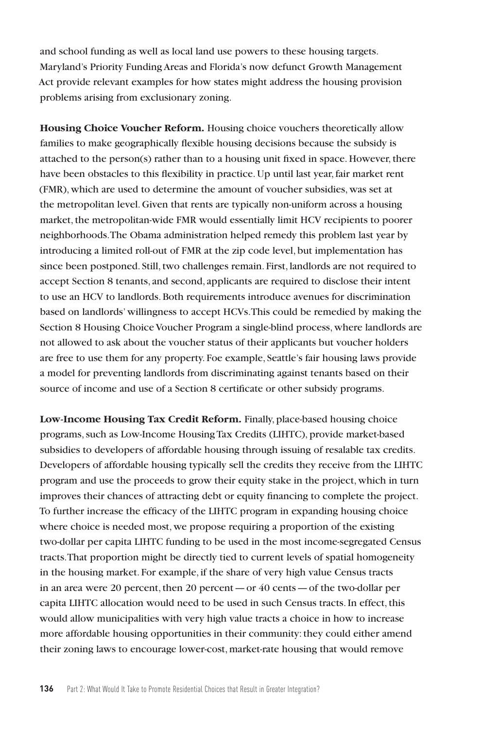and school funding as well as local land use powers to these housing targets. Maryland's Priority Funding Areas and Florida's now defunct Growth Management Act provide relevant examples for how states might address the housing provision problems arising from exclusionary zoning.

**Housing Choice Voucher Reform.** Housing choice vouchers theoretically allow families to make geographically flexible housing decisions because the subsidy is attached to the person(s) rather than to a housing unit fixed in space. However, there have been obstacles to this flexibility in practice. Up until last year, fair market rent (FMR), which are used to determine the amount of voucher subsidies, was set at the metropolitan level. Given that rents are typically non-uniform across a housing market, the metropolitan-wide FMR would essentially limit HCV recipients to poorer neighborhoods. The Obama administration helped remedy this problem last year by introducing a limited roll-out of FMR at the zip code level, but implementation has since been postponed. Still, two challenges remain. First, landlords are not required to accept Section 8 tenants, and second, applicants are required to disclose their intent to use an HCV to landlords. Both requirements introduce avenues for discrimination based on landlords' willingness to accept HCVs. This could be remedied by making the Section 8 Housing Choice Voucher Program a single-blind process, where landlords are not allowed to ask about the voucher status of their applicants but voucher holders are free to use them for any property. Foe example, Seattle's fair housing laws provide a model for preventing landlords from discriminating against tenants based on their source of income and use of a Section 8 certificate or other subsidy programs.

**Low-Income Housing Tax Credit Reform.** Finally, place-based housing choice programs, such as Low-Income Housing Tax Credits (LIHTC), provide market-based subsidies to developers of affordable housing through issuing of resalable tax credits. Developers of affordable housing typically sell the credits they receive from the LIHTC program and use the proceeds to grow their equity stake in the project, which in turn improves their chances of attracting debt or equity financing to complete the project. To further increase the efficacy of the LIHTC program in expanding housing choice where choice is needed most, we propose requiring a proportion of the existing two-dollar per capita LIHTC funding to be used in the most income-segregated Census tracts. That proportion might be directly tied to current levels of spatial homogeneity in the housing market. For example, if the share of very high value Census tracts in an area were 20 percent, then 20 percent—or 40 cents—of the two-dollar per capita LIHTC allocation would need to be used in such Census tracts. In effect, this would allow municipalities with very high value tracts a choice in how to increase more affordable housing opportunities in their community: they could either amend their zoning laws to encourage lower-cost, market-rate housing that would remove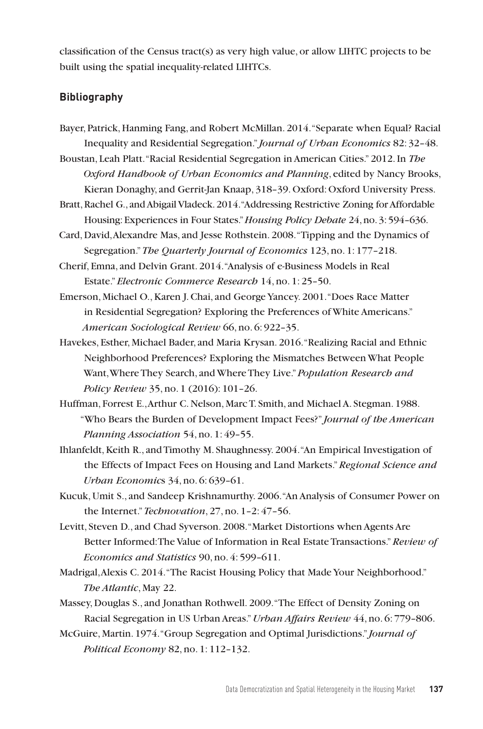classification of the Census tract(s) as very high value, or allow LIHTC projects to be built using the spatial inequality-related LIHTCs.

## **Bibliography**

- Bayer, Patrick, Hanming Fang, and Robert McMillan. 2014. "Separate when Equal? Racial Inequality and Residential Segregation." *Journal of Urban Economics* 82: 32–48.
- Boustan, Leah Platt. "Racial Residential Segregation in American Cities." 2012. In *The Oxford Handbook of Urban Economics and Planning*, edited by Nancy Brooks, Kieran Donaghy, and Gerrit-Jan Knaap, 318–39. Oxford: Oxford University Press.
- Bratt, Rachel G., and Abigail Vladeck. 2014. "Addressing Restrictive Zoning for Affordable Housing: Experiences in Four States."*Housing Policy Debate* 24, no. 3: 594–636.
- Card, David, Alexandre Mas, and Jesse Rothstein. 2008. "Tipping and the Dynamics of Segregation."*The Quarterly Journal of Economics* 123, no. 1: 177–218.
- Cherif, Emna, and Delvin Grant. 2014. "Analysis of e-Business Models in Real Estate."*Electronic Commerce Research* 14, no. 1: 25–50.
- Emerson, Michael O., Karen J. Chai, and George Yancey. 2001. "Does Race Matter in Residential Segregation? Exploring the Preferences of White Americans." *American Sociological Review* 66, no. 6: 922–35.
- Havekes, Esther, Michael Bader, and Maria Krysan. 2016. "Realizing Racial and Ethnic Neighborhood Preferences? Exploring the Mismatches Between What People Want, Where They Search, and Where They Live."*Population Research and Policy Review* 35, no. 1 (2016): 101–26.
- Huffman, Forrest E., Arthur C. Nelson, Marc T. Smith, and Michael A. Stegman. 1988. "Who Bears the Burden of Development Impact Fees?" *Journal of the American Planning Association* 54, no. 1: 49–55.
- Ihlanfeldt, Keith R., and Timothy M. Shaughnessy. 2004. "An Empirical Investigation of the Effects of Impact Fees on Housing and Land Markets."*Regional Science and Urban Economic*s 34, no. 6: 639–61.
- Kucuk, Umit S., and Sandeep Krishnamurthy. 2006. "An Analysis of Consumer Power on the Internet." *Technovation*, 27, no. 1–2: 47–56.
- Levitt, Steven D., and Chad Syverson. 2008. "Market Distortions when Agents Are Better Informed: The Value of Information in Real Estate Transactions." *Review of Economics and Statistics* 90, no. 4: 599–611.
- Madrigal, Alexis C. 2014. "The Racist Housing Policy that Made Your Neighborhood." *The Atlantic*, May 22.
- Massey, Douglas S., and Jonathan Rothwell. 2009. "The Effect of Density Zoning on Racial Segregation in US Urban Areas."*Urban Affairs Review* 44, no. 6: 779–806.
- McGuire, Martin. 1974. "Group Segregation and Optimal Jurisdictions." *Journal of Political Economy* 82, no. 1: 112–132.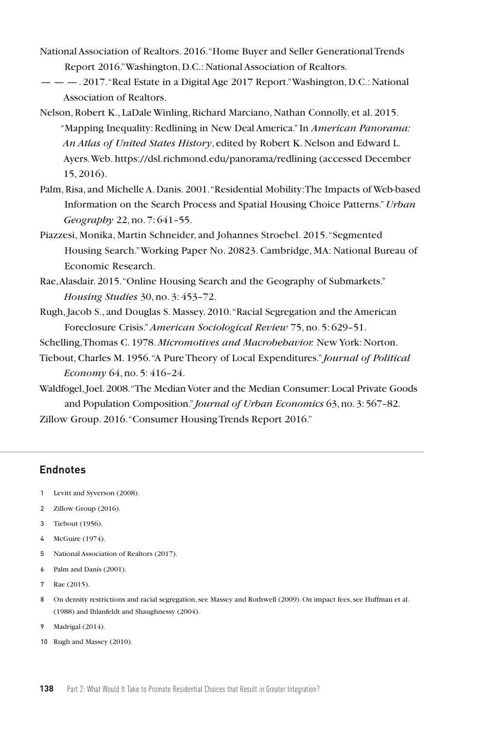- National Association of Realtors. 2016. "Home Buyer and Seller Generational Trends Report 2016." Washington, D.C.: National Association of Realtors.
- — —. 2017. "Real Estate in a Digital Age 2017 Report." Washington, D.C.: National Association of Realtors.
- Nelson, Robert K., LaDale Winling, Richard Marciano, Nathan Connolly, et al. 2015. "Mapping Inequality: Redlining in New Deal America." In *American Panorama: An Atlas of United States History*, edited by Robert K. Nelson and Edward L. Ayers. Web. https://dsl.richmond.edu/panorama/redlining (accessed December 15, 2016).
- Palm, Risa, and Michelle A. Danis. 2001. "Residential Mobility: The Impacts of Web-based Information on the Search Process and Spatial Housing Choice Patterns."*Urban Geography* 22, no. 7: 641–55.
- Piazzesi, Monika, Martin Schneider, and Johannes Stroebel. 2015. "Segmented Housing Search." Working Paper No. 20823. Cambridge, MA: National Bureau of Economic Research.
- Rae, Alasdair. 2015. "Online Housing Search and the Geography of Submarkets." *Housing Studies* 30, no. 3: 453–72.
- Rugh, Jacob S., and Douglas S. Massey. 2010. "Racial Segregation and the American Foreclosure Crisis."*American Sociological Review* 75, no. 5: 629–51.
- Schelling, Thomas C. 1978. *Micromotives and Macrobehavior.* New York: Norton.
- Tiebout, Charles M. 1956. "A Pure Theory of Local Expenditures." *Journal of Political Economy* 64, no. 5: 416–24.
- Waldfogel, Joel. 2008. "The Median Voter and the Median Consumer: Local Private Goods and Population Composition." *Journal of Urban Economics* 63, no. 3: 567–82. Zillow Group. 2016. "Consumer Housing Trends Report 2016."

#### **Endnotes**

- 1 Levitt and Syverson (2008).
- 2 Zillow Group (2016).
- 3 Tiebout (1956).
- 4 McGuire (1974).
- 5 National Association of Realtors (2017).
- 6 Palm and Danis (2001).
- 7 Rae (2015).
- 8 On density restrictions and racial segregation, see Massey and Rothwell (2009). On impact fees, see Huffman et al. (1988) and Ihlanfeldt and Shaughnessy (2004).
- 9 Madrigal (2014).
- 10 Rugh and Massey (2010).